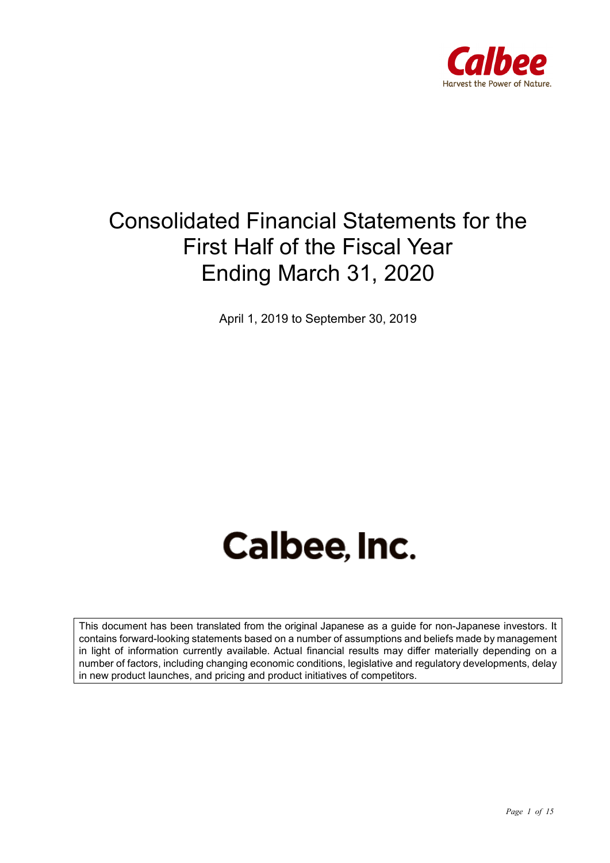

## Consolidated Financial Statements for the First Half of the Fiscal Year Ending March 31, 2020

April 1, 2019 to September 30, 2019

# **Calbee, Inc.**

This document has been translated from the original Japanese as a guide for non-Japanese investors. It contains forward-looking statements based on a number of assumptions and beliefs made by management in light of information currently available. Actual financial results may differ materially depending on a number of factors, including changing economic conditions, legislative and regulatory developments, delay in new product launches, and pricing and product initiatives of competitors.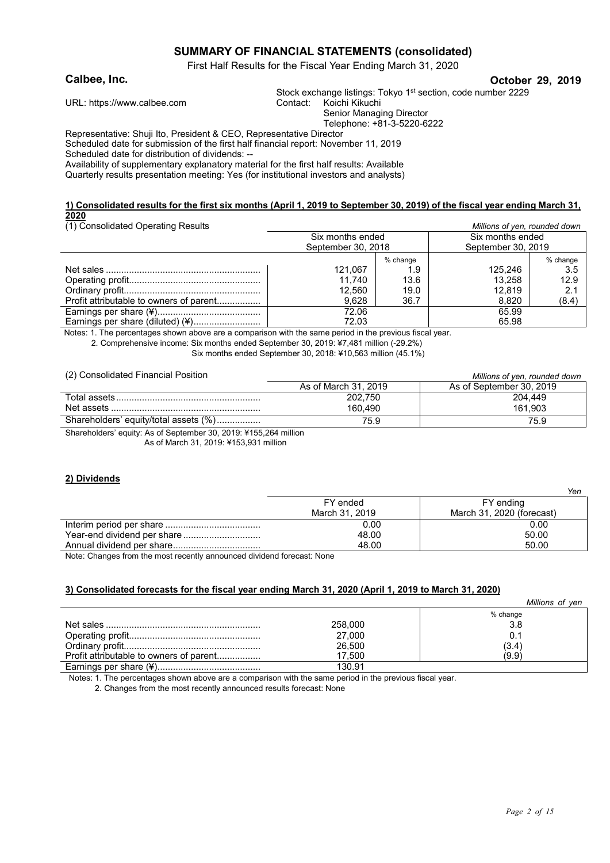#### **SUMMARY OF FINANCIAL STATEMENTS (consolidated)**

First Half Results for the Fiscal Year Ending March 31, 2020

#### **Calbee, Inc. October 29, 2019**

Stock exchange listings: Tokyo 1<sup>st</sup> section, code number 2229 Contact: Koichi Kikuchi

URL: https://www.calbee.com Senior Managing Director

Telephone: +81-3-5220-6222

Representative: Shuji Ito, President & CEO, Representative Director Scheduled date for submission of the first half financial report: November 11, 2019 Scheduled date for distribution of dividends: --

Availability of supplementary explanatory material for the first half results: Available Quarterly results presentation meeting: Yes (for institutional investors and analysts)

#### **1) Consolidated results for the first six months (April 1, 2019 to September 30, 2019) of the fiscal year ending March 31, 2020**

(1) Consolidated Operating Results *Millions of yen, rounded down*

| <u>(1) Consolidated Operating Results</u> | <u>Millions</u> of year, rounded down |          |                    |          |
|-------------------------------------------|---------------------------------------|----------|--------------------|----------|
|                                           | Six months ended                      |          | Six months ended   |          |
|                                           | September 30, 2018                    |          | September 30, 2019 |          |
|                                           |                                       | % change |                    | % change |
|                                           | 121.067                               | 1.9      | 125.246            | 3.5      |
|                                           | 11.740                                | 13.6     | 13.258             | 12.9     |
|                                           | 12.560                                | 19.0     | 12.819             | 2.1      |
| Profit attributable to owners of parent   | 9.628                                 | 36.7     | 8.820              | (8.4)    |
|                                           | 72.06                                 |          | 65.99              |          |
| Earnings per share (diluted) (¥)          | 72.03                                 |          | 65.98              |          |

Notes: 1. The percentages shown above are a comparison with the same period in the previous fiscal year.

2. Comprehensive income: Six months ended September 30, 2019: ¥7,481 million (-29.2%)

Six months ended September 30, 2018: ¥10,563 million (45.1%)

(2) Consolidated Financial Position *Millions of yen, rounded down*

| $(-)$ concentration . manifest . contor.                                                                                                                                                                                         | <u><i>Millions</i></u> of you, redriged down |                          |  |
|----------------------------------------------------------------------------------------------------------------------------------------------------------------------------------------------------------------------------------|----------------------------------------------|--------------------------|--|
|                                                                                                                                                                                                                                  | As of March 31, 2019                         | As of September 30, 2019 |  |
|                                                                                                                                                                                                                                  | 202.750                                      | 204.449                  |  |
| Net assets                                                                                                                                                                                                                       | 160.490                                      | 161.903                  |  |
| Shareholders' equity/total assets (%)                                                                                                                                                                                            | 75.9                                         | 75.9                     |  |
| $\alpha$ iii ii a fo ii aa aala Witter and the second the second terms of the second terms of the second terms of the second terms of the second terms of the second terms of the second terms of the second terms of the second |                                              |                          |  |

Shareholders' equity: As of September 30, 2019: ¥155,264 million As of March 31, 2019: ¥153,931 million

#### **2) Dividends**

|                | Yen                       |
|----------------|---------------------------|
| FY ended       | FY ending                 |
| March 31, 2019 | March 31, 2020 (forecast) |
| 0.00           | 0.00                      |
| 48.00          | 50.00                     |
| 48.00          | 50.00                     |

Note: Changes from the most recently announced dividend forecast: None

#### **3) Consolidated forecasts for the fiscal year ending March 31, 2020 (April 1, 2019 to March 31, 2020)**

|                                         |         | Millions of ven |
|-----------------------------------------|---------|-----------------|
|                                         |         | % change        |
|                                         | 258,000 | 3.8             |
|                                         | 27,000  | 0.1             |
|                                         | 26,500  | (3.4)           |
| Profit attributable to owners of parent | 17.500  | (9.9)           |
|                                         | 130.91  |                 |

Notes: 1. The percentages shown above are a comparison with the same period in the previous fiscal year.

2. Changes from the most recently announced results forecast: None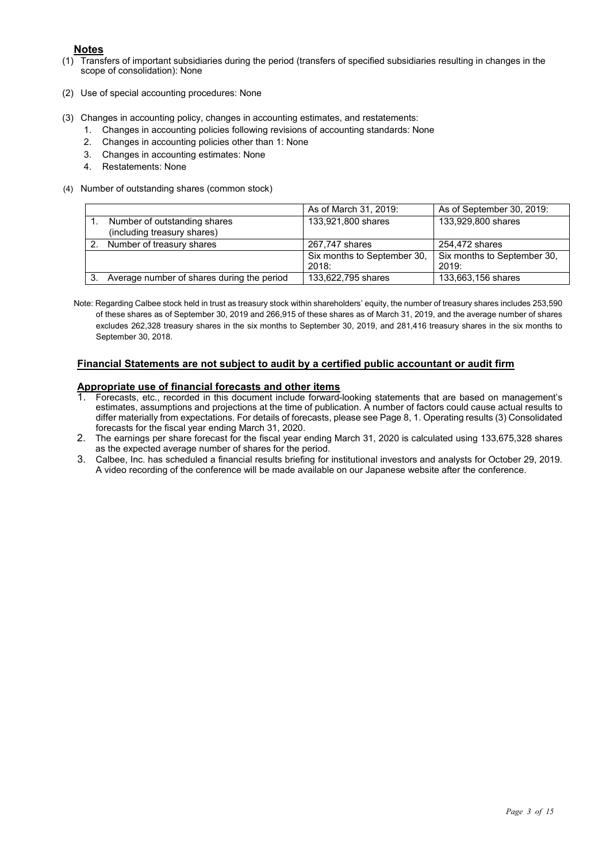#### **Notes**

- (1) Transfers of important subsidiaries during the period (transfers of specified subsidiaries resulting in changes in the scope of consolidation): None
- (2) Use of special accounting procedures: None
- (3) Changes in accounting policy, changes in accounting estimates, and restatements:
	- 1. Changes in accounting policies following revisions of accounting standards: None
	- 2. Changes in accounting policies other than 1: None
	- 3. Changes in accounting estimates: None
	- 4. Restatements: None
- (4) Number of outstanding shares (common stock)

|    |                                                             | As of March 31, 2019:                | As of September 30, 2019:            |
|----|-------------------------------------------------------------|--------------------------------------|--------------------------------------|
|    | Number of outstanding shares<br>(including treasury shares) | 133,921,800 shares                   | 133,929,800 shares                   |
| 2. | Number of treasury shares                                   | 267,747 shares                       | 254,472 shares                       |
|    |                                                             | Six months to September 30,<br>2018: | Six months to September 30,<br>2019: |
|    | Average number of shares during the period                  | 133,622,795 shares                   | 133,663,156 shares                   |

Note: Regarding Calbee stock held in trust as treasury stock within shareholders' equity, the number of treasury shares includes 253,590 of these shares as of September 30, 2019 and 266,915 of these shares as of March 31, 2019, and the average number of shares excludes 262,328 treasury shares in the six months to September 30, 2019, and 281,416 treasury shares in the six months to September 30, 2018.

#### **Financial Statements are not subject to audit by a certified public accountant or audit firm**

## **Appropriate use of financial forecasts and other items**<br>1. Forecasts, etc., recorded in this document insture formula

- 1. Forecasts, etc., recorded in this document include forward-looking statements that are based on management's estimates, assumptions and projections at the time of publication. A number of factors could cause actual results to differ materially from expectations. For details of forecasts, please see Page 8, 1. Operating results (3) Consolidated forecasts for the fiscal year ending March 31, 2020.
- 2. The earnings per share forecast for the fiscal year ending March 31, 2020 is calculated using 133,675,328 shares as the expected average number of shares for the period.
- 3. Calbee, Inc. has scheduled a financial results briefing for institutional investors and analysts for October 29, 2019. A video recording of the conference will be made available on our Japanese website after the conference.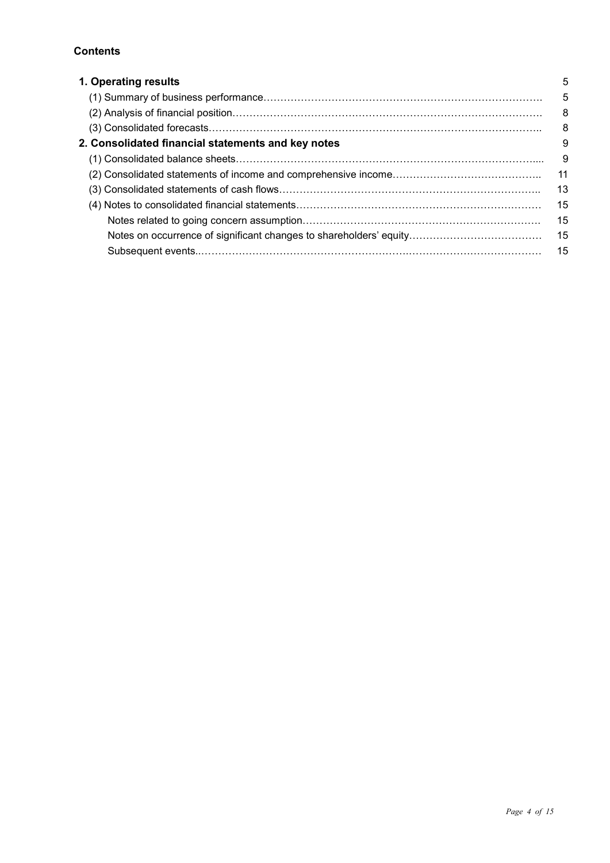#### **Contents**

| 1. Operating results                               | 5  |
|----------------------------------------------------|----|
|                                                    | 5  |
|                                                    | 8  |
|                                                    | 8  |
| 2. Consolidated financial statements and key notes | 9  |
|                                                    | 9  |
|                                                    | 11 |
|                                                    | 13 |
|                                                    | 15 |
|                                                    | 15 |
|                                                    | 15 |
|                                                    | 15 |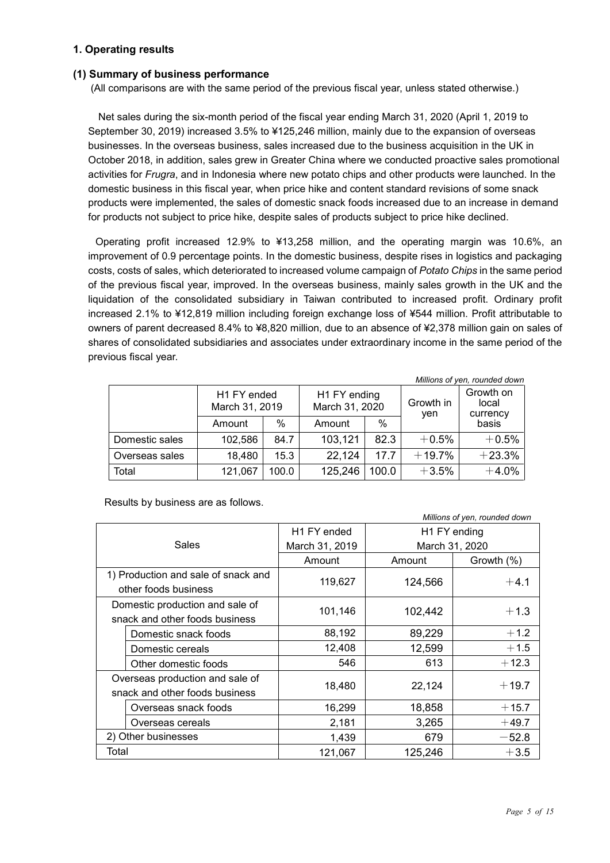#### **1. Operating results**

#### **(1) Summary of business performance**

(All comparisons are with the same period of the previous fiscal year, unless stated otherwise.)

Net sales during the six-month period of the fiscal year ending March 31, 2020 (April 1, 2019 to September 30, 2019) increased 3.5% to ¥125,246 million, mainly due to the expansion of overseas businesses. In the overseas business, sales increased due to the business acquisition in the UK in October 2018, in addition, sales grew in Greater China where we conducted proactive sales promotional activities for *Frugra*, and in Indonesia where new potato chips and other products were launched. In the domestic business in this fiscal year, when price hike and content standard revisions of some snack products were implemented, the sales of domestic snack foods increased due to an increase in demand for products not subject to price hike, despite sales of products subject to price hike declined.

Operating profit increased 12.9% to ¥13,258 million, and the operating margin was 10.6%, an improvement of 0.9 percentage points. In the domestic business, despite rises in logistics and packaging costs, costs of sales, which deteriorated to increased volume campaign of *Potato Chips* in the same period of the previous fiscal year, improved. In the overseas business, mainly sales growth in the UK and the liquidation of the consolidated subsidiary in Taiwan contributed to increased profit. Ordinary profit increased 2.1% to ¥12,819 million including foreign exchange loss of ¥544 million. Profit attributable to owners of parent decreased 8.4% to ¥8,820 million, due to an absence of ¥2,378 million gain on sales of shares of consolidated subsidiaries and associates under extraordinary income in the same period of the previous fiscal year.

|                |                               |       |                                |       |                  | Millions of yen, rounded down  |
|----------------|-------------------------------|-------|--------------------------------|-------|------------------|--------------------------------|
|                | H1 FY ended<br>March 31, 2019 |       | H1 FY ending<br>March 31, 2020 |       | Growth in<br>yen | Growth on<br>local<br>currency |
|                | Amount                        | %     | Amount                         | %     |                  | basis                          |
| Domestic sales | 102,586                       | 84.7  | 103,121                        | 82.3  | $+0.5%$          | $+0.5%$                        |
| Overseas sales | 18,480                        | 15.3  | 22,124                         | 17.7  | $+19.7%$         | $+23.3%$                       |
| Total          | 121,067                       | 100.0 | 125,246                        | 100.0 | $+3.5%$          | $+4.0%$                        |

Results by business are as follows.

| <i>IVIIIIIOHO OI yon, roanaca aomin</i> |                                     |                         |              |                |  |
|-----------------------------------------|-------------------------------------|-------------------------|--------------|----------------|--|
| Sales                                   |                                     | H <sub>1</sub> FY ended | H1 FY ending |                |  |
|                                         |                                     | March 31, 2019          |              | March 31, 2020 |  |
|                                         |                                     | Amount                  | Amount       | Growth (%)     |  |
|                                         | 1) Production and sale of snack and | 119,627                 | 124,566      |                |  |
|                                         | other foods business                |                         |              | $+4.1$         |  |
|                                         | Domestic production and sale of     | 101,146                 | 102,442      | $+1.3$         |  |
|                                         | snack and other foods business      |                         |              |                |  |
|                                         | Domestic snack foods                | 88,192                  | 89,229       | $+1.2$         |  |
|                                         | Domestic cereals                    | 12,408                  | 12,599       | $+1.5$         |  |
|                                         | Other domestic foods                | 546                     | 613          | $+12.3$        |  |
|                                         | Overseas production and sale of     |                         |              | $+19.7$        |  |
|                                         | snack and other foods business      | 18,480                  | 22,124       |                |  |
|                                         | Overseas snack foods                | 16,299                  | 18,858       | $+15.7$        |  |
|                                         | Overseas cereals                    | 2,181                   | 3,265        | $+49.7$        |  |
|                                         | 2) Other businesses                 | 1,439                   | 679          | $-52.8$        |  |
| Total                                   |                                     | 121,067                 | 125,246      | $+3.5$         |  |

*Millions of yen, rounded down*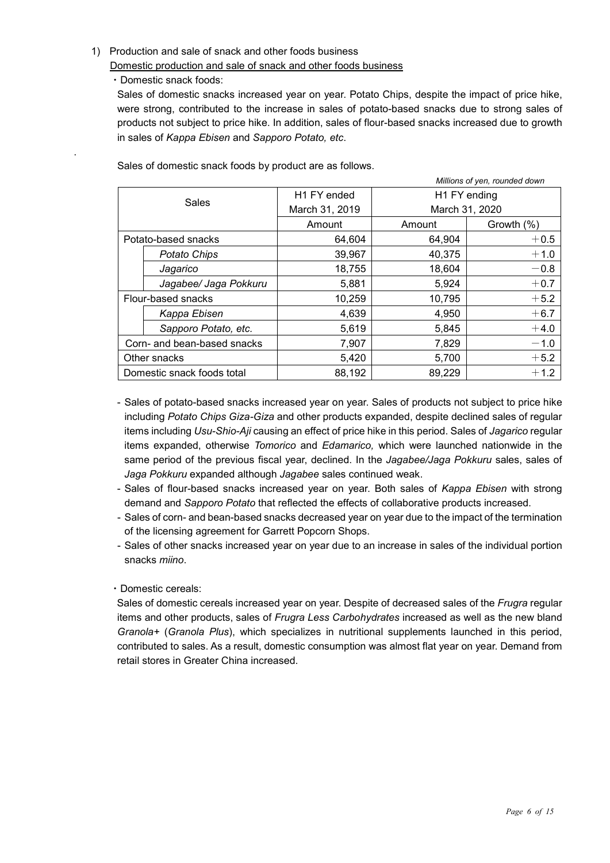#### 1) Production and sale of snack and other foods business

Domestic production and sale of snack and other foods business

・Domestic snack foods:

.

Sales of domestic snacks increased year on year. Potato Chips, despite the impact of price hike, were strong, contributed to the increase in sales of potato-based snacks due to strong sales of products not subject to price hike. In addition, sales of flour-based snacks increased due to growth in sales of *Kappa Ebisen* and *Sapporo Potato, etc*.

*Millions of yen, rounded down* Sales H1 FY ended March 31, 2019 H1 FY ending March 31, 2020 Amount | Amount | Growth (%) Potato-based snacks  $| 64,604 | 64,904 | +0.5$ **Potato Chips**  $\begin{array}{|c|c|c|c|c|} \hline \text{Potato Chips} & \text{39.967} & \text{40.375} & \text{+1.0} \ \hline \end{array}$ *Jagarico* 18,755 18,604 -0.8 *Jagabee/ Jaga Pokkuru* | 5,881 | 5,924 | +0.7 Flour-based snacks  $\vert$  10,259  $\vert$  10,795 +5.2 **Kappa Ebisen** 1 4,639 4,950 4,950 +6.7 **Sapporo Potato, etc.**  $\begin{vmatrix} 1 & 5,619 & 5,845 \end{vmatrix}$  +4.0 Corn- and bean-based snacks  $\begin{vmatrix} 7,907 & 7,829 \end{vmatrix}$  7.829  $-1.0$ Other snacks 5,420 5,700 +5.2 Domestic snack foods total  $\begin{array}{ccc} 88,192 & 89,229 & +1.2 \end{array}$ 

Sales of domestic snack foods by product are as follows.

- Sales of potato-based snacks increased year on year. Sales of products not subject to price hike including *Potato Chips Giza-Giza* and other products expanded, despite declined sales of regular items including *Usu-Shio-Aji* causing an effect of price hike in this period. Sales of *Jagarico* regular items expanded, otherwise *Tomorico* and *Edamarico,* which were launched nationwide in the same period of the previous fiscal year, declined. In the *Jagabee/Jaga Pokkuru* sales, sales of *Jaga Pokkuru* expanded although *Jagabee* sales continued weak.
- Sales of flour-based snacks increased year on year. Both sales of *Kappa Ebisen* with strong demand and *Sapporo Potato* that reflected the effects of collaborative products increased.
- Sales of corn- and bean-based snacks decreased year on year due to the impact of the termination of the licensing agreement for Garrett Popcorn Shops.
- Sales of other snacks increased year on year due to an increase in sales of the individual portion snacks *miino*.

#### ・Domestic cereals:

Sales of domestic cereals increased year on year. Despite of decreased sales of the *Frugra* regular items and other products, sales of *Frugra Less Carbohydrates* increased as well as the new bland *Granola+* (*Granola Plus*), which specializes in nutritional supplements launched in this period, contributed to sales. As a result, domestic consumption was almost flat year on year. Demand from retail stores in Greater China increased.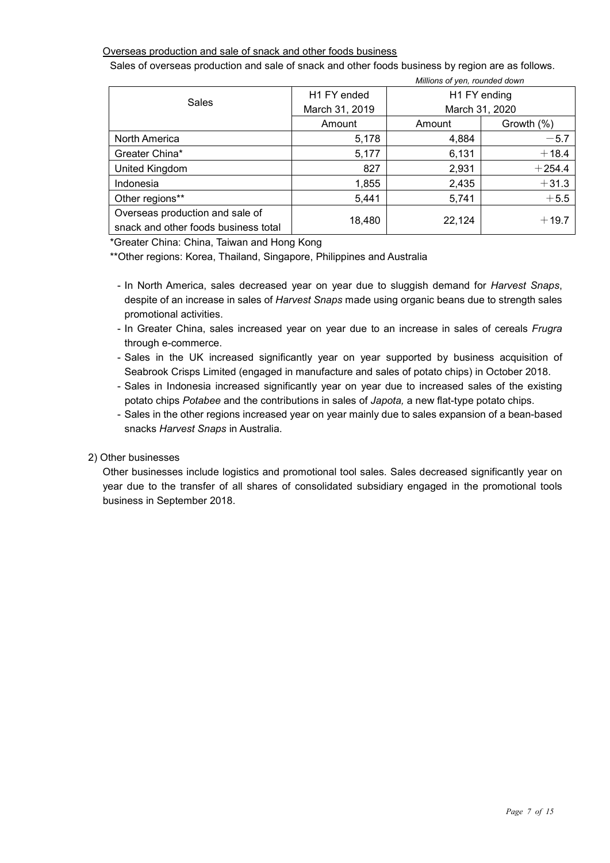#### Overseas production and sale of snack and other foods business

Sales of overseas production and sale of snack and other foods business by region are as follows.

*Millions of yen, rounded down*

| <b><i>IVIIIIIUIIS UI YEII, IUUIIUEU UUWII</i></b>                       |                |              |                |  |
|-------------------------------------------------------------------------|----------------|--------------|----------------|--|
| <b>Sales</b>                                                            | H1 FY ended    | H1 FY ending |                |  |
|                                                                         | March 31, 2019 |              | March 31, 2020 |  |
|                                                                         | Amount         | Amount       | Growth (%)     |  |
| North America                                                           | 5,178          | 4,884        | $-5.7$         |  |
| Greater China*                                                          | 5,177          | 6,131        | $+18.4$        |  |
| United Kingdom                                                          | 827            | 2,931        | $+254.4$       |  |
| Indonesia                                                               | 1,855          | 2,435        | $+31.3$        |  |
| Other regions**                                                         | 5,441          | 5,741        | $+5.5$         |  |
| Overseas production and sale of<br>snack and other foods business total | 18,480         | 22,124       | $+19.7$        |  |

\*Greater China: China, Taiwan and Hong Kong

\*\*Other regions: Korea, Thailand, Singapore, Philippines and Australia

- In North America, sales decreased year on year due to sluggish demand for *Harvest Snaps*, despite of an increase in sales of *Harvest Snaps* made using organic beans due to strength sales promotional activities.
- In Greater China, sales increased year on year due to an increase in sales of cereals *Frugra* through e-commerce.
- Sales in the UK increased significantly year on year supported by business acquisition of Seabrook Crisps Limited (engaged in manufacture and sales of potato chips) in October 2018.
- Sales in Indonesia increased significantly year on year due to increased sales of the existing potato chips *Potabee* and the contributions in sales of *Japota,* a new flat-type potato chips.
- Sales in the other regions increased year on year mainly due to sales expansion of a bean-based snacks *Harvest Snaps* in Australia.

#### 2) Other businesses

Other businesses include logistics and promotional tool sales. Sales decreased significantly year on year due to the transfer of all shares of consolidated subsidiary engaged in the promotional tools business in September 2018.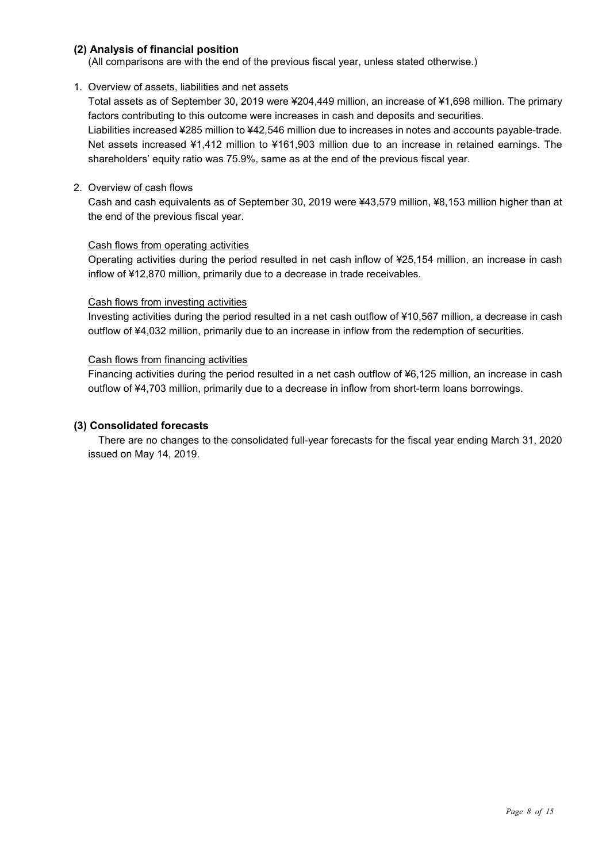#### **(2) Analysis of financial position**

(All comparisons are with the end of the previous fiscal year, unless stated otherwise.)

#### 1. Overview of assets, liabilities and net assets

Total assets as of September 30, 2019 were ¥204,449 million, an increase of ¥1,698 million. The primary factors contributing to this outcome were increases in cash and deposits and securities. Liabilities increased ¥285 million to ¥42,546 million due to increases in notes and accounts payable-trade. Net assets increased ¥1,412 million to ¥161,903 million due to an increase in retained earnings. The shareholders' equity ratio was 75.9%, same as at the end of the previous fiscal year.

#### 2. Overview of cash flows

Cash and cash equivalents as of September 30, 2019 were ¥43,579 million, ¥8,153 million higher than at the end of the previous fiscal year.

#### Cash flows from operating activities

Operating activities during the period resulted in net cash inflow of ¥25,154 million, an increase in cash inflow of ¥12,870 million, primarily due to a decrease in trade receivables.

#### Cash flows from investing activities

Investing activities during the period resulted in a net cash outflow of ¥10,567 million, a decrease in cash outflow of ¥4,032 million, primarily due to an increase in inflow from the redemption of securities.

#### Cash flows from financing activities

Financing activities during the period resulted in a net cash outflow of ¥6,125 million, an increase in cash outflow of ¥4,703 million, primarily due to a decrease in inflow from short-term loans borrowings.

#### **(3) Consolidated forecasts**

There are no changes to the consolidated full-year forecasts for the fiscal year ending March 31, 2020 issued on May 14, 2019.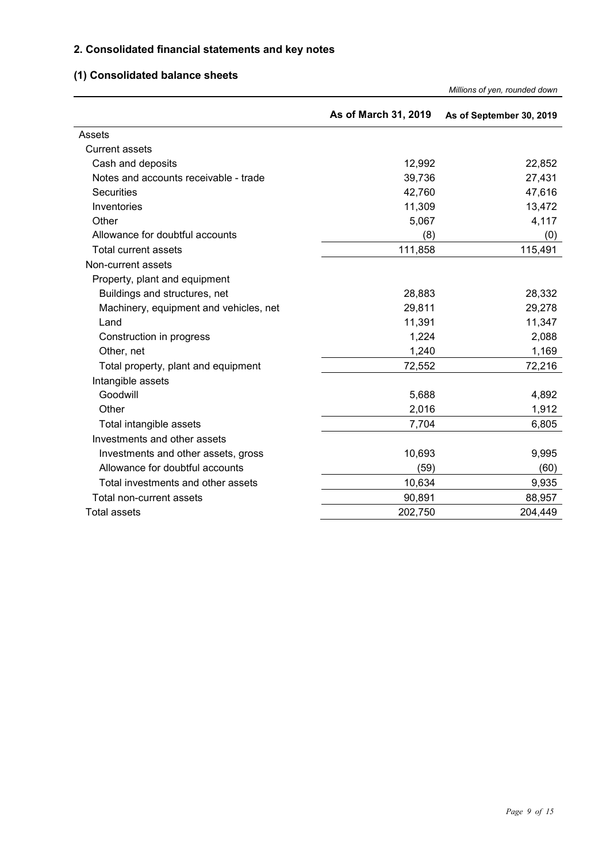#### **2. Consolidated financial statements and key notes**

### **(1) Consolidated balance sheets**

|                                        |                      | Millions of yen, rounded down |
|----------------------------------------|----------------------|-------------------------------|
|                                        | As of March 31, 2019 | As of September 30, 2019      |
| Assets                                 |                      |                               |
| <b>Current assets</b>                  |                      |                               |
| Cash and deposits                      | 12,992               | 22,852                        |
| Notes and accounts receivable - trade  | 39,736               | 27,431                        |
| <b>Securities</b>                      | 42,760               | 47,616                        |
| Inventories                            | 11,309               | 13,472                        |
| Other                                  | 5,067                | 4,117                         |
| Allowance for doubtful accounts        | (8)                  | (0)                           |
| Total current assets                   | 111,858              | 115,491                       |
| Non-current assets                     |                      |                               |
| Property, plant and equipment          |                      |                               |
| Buildings and structures, net          | 28,883               | 28,332                        |
| Machinery, equipment and vehicles, net | 29,811               | 29,278                        |
| Land                                   | 11,391               | 11,347                        |
| Construction in progress               | 1,224                | 2,088                         |
| Other, net                             | 1,240                | 1,169                         |
| Total property, plant and equipment    | 72,552               | 72,216                        |
| Intangible assets                      |                      |                               |
| Goodwill                               | 5,688                | 4,892                         |
| Other                                  | 2,016                | 1,912                         |
| Total intangible assets                | 7,704                | 6,805                         |
| Investments and other assets           |                      |                               |
| Investments and other assets, gross    | 10,693               | 9,995                         |
| Allowance for doubtful accounts        | (59)                 | (60)                          |
| Total investments and other assets     | 10,634               | 9,935                         |
| Total non-current assets               | 90,891               | 88,957                        |
| <b>Total assets</b>                    | 202,750              | 204,449                       |

*Millions of yen, rounded down*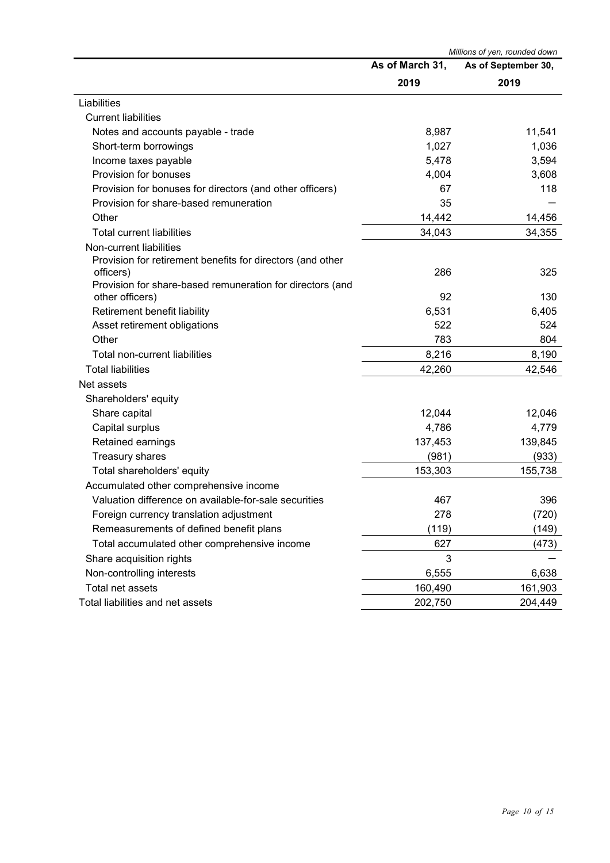|                                                            |                 | Millions of yen, rounded down |
|------------------------------------------------------------|-----------------|-------------------------------|
|                                                            | As of March 31, | As of September 30,           |
|                                                            | 2019            | 2019                          |
| Liabilities                                                |                 |                               |
| <b>Current liabilities</b>                                 |                 |                               |
| Notes and accounts payable - trade                         | 8,987           | 11,541                        |
| Short-term borrowings                                      | 1,027           | 1,036                         |
| Income taxes payable                                       | 5,478           | 3,594                         |
| Provision for bonuses                                      | 4,004           | 3,608                         |
| Provision for bonuses for directors (and other officers)   | 67              | 118                           |
| Provision for share-based remuneration                     | 35              |                               |
| Other                                                      | 14,442          | 14,456                        |
| <b>Total current liabilities</b>                           | 34,043          | 34,355                        |
| Non-current liabilities                                    |                 |                               |
| Provision for retirement benefits for directors (and other |                 |                               |
| officers)                                                  | 286             | 325                           |
| Provision for share-based remuneration for directors (and  |                 |                               |
| other officers)                                            | 92              | 130                           |
| Retirement benefit liability                               | 6,531           | 6,405                         |
| Asset retirement obligations                               | 522             | 524                           |
| Other                                                      | 783             | 804                           |
| Total non-current liabilities                              | 8,216           | 8,190                         |
| <b>Total liabilities</b>                                   | 42,260          | 42,546                        |
| Net assets                                                 |                 |                               |
| Shareholders' equity                                       |                 |                               |
| Share capital                                              | 12,044          | 12,046                        |
| Capital surplus                                            | 4,786           | 4,779                         |
| Retained earnings                                          | 137,453         | 139,845                       |
| <b>Treasury shares</b>                                     | (981)           | (933)                         |
| Total shareholders' equity                                 | 153,303         | 155,738                       |
| Accumulated other comprehensive income                     |                 |                               |
| Valuation difference on available-for-sale securities      | 467             | 396                           |
| Foreign currency translation adjustment                    | 278             | (720)                         |
| Remeasurements of defined benefit plans                    | (119)           | (149)                         |
| Total accumulated other comprehensive income               | 627             | (473)                         |
| Share acquisition rights                                   | 3               |                               |
| Non-controlling interests                                  | 6,555           | 6,638                         |
| Total net assets                                           | 160,490         | 161,903                       |
| Total liabilities and net assets                           | 202,750         | 204,449                       |
|                                                            |                 |                               |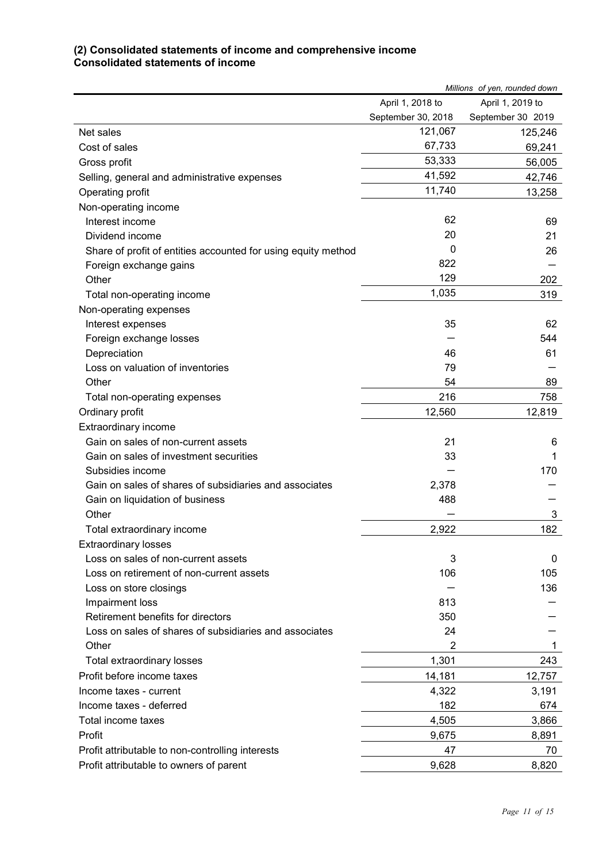#### **(2) Consolidated statements of income and comprehensive income Consolidated statements of income**

|                                                               |                    | Millions of yen, rounded down |
|---------------------------------------------------------------|--------------------|-------------------------------|
|                                                               | April 1, 2018 to   | April 1, 2019 to              |
|                                                               | September 30, 2018 | September 30 2019             |
| Net sales                                                     | 121,067            | 125,246                       |
| Cost of sales                                                 | 67,733             | 69,241                        |
| Gross profit                                                  | 53,333             | 56,005                        |
| Selling, general and administrative expenses                  | 41,592             | 42,746                        |
| Operating profit                                              | 11,740             | 13,258                        |
| Non-operating income                                          |                    |                               |
| Interest income                                               | 62                 | 69                            |
| Dividend income                                               | 20                 | 21                            |
| Share of profit of entities accounted for using equity method | 0                  | 26                            |
| Foreign exchange gains                                        | 822                |                               |
| Other                                                         | 129                | 202                           |
| Total non-operating income                                    | 1,035              | 319                           |
| Non-operating expenses                                        |                    |                               |
| Interest expenses                                             | 35                 | 62                            |
| Foreign exchange losses                                       |                    | 544                           |
| Depreciation                                                  | 46                 | 61                            |
| Loss on valuation of inventories                              | 79                 |                               |
| Other                                                         | 54                 | 89                            |
| Total non-operating expenses                                  | 216                | 758                           |
| Ordinary profit                                               | 12,560             | 12,819                        |
| Extraordinary income                                          |                    |                               |
| Gain on sales of non-current assets                           | 21                 | 6                             |
| Gain on sales of investment securities                        | 33                 | 1                             |
| Subsidies income                                              |                    | 170                           |
| Gain on sales of shares of subsidiaries and associates        | 2,378              |                               |
| Gain on liquidation of business                               | 488                |                               |
| Other                                                         |                    | 3                             |
| Total extraordinary income                                    | 2,922              | 182                           |
| <b>Extraordinary losses</b>                                   |                    |                               |
| Loss on sales of non-current assets                           | 3                  | 0                             |
| Loss on retirement of non-current assets                      | 106                | 105                           |
| Loss on store closings                                        |                    | 136                           |
| Impairment loss                                               | 813                |                               |
| Retirement benefits for directors                             | 350                |                               |
| Loss on sales of shares of subsidiaries and associates        | 24                 |                               |
| Other                                                         | 2                  | 1                             |
| Total extraordinary losses                                    | 1,301              | 243                           |
| Profit before income taxes                                    | 14,181             | 12,757                        |
| Income taxes - current                                        | 4,322              | 3,191                         |
| Income taxes - deferred                                       | 182                | 674                           |
| Total income taxes                                            | 4,505              | 3,866                         |
| Profit                                                        | 9,675              | 8,891                         |
| Profit attributable to non-controlling interests              | 47                 | 70                            |
| Profit attributable to owners of parent                       | 9,628              | 8,820                         |
|                                                               |                    |                               |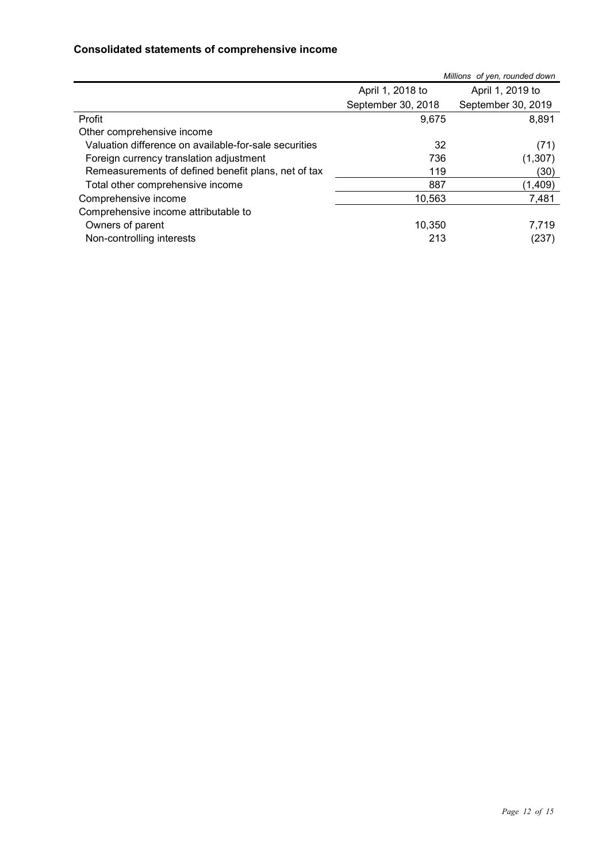#### **Consolidated statements of comprehensive income**

|                                                       |                    | Millions of yen, rounded down |
|-------------------------------------------------------|--------------------|-------------------------------|
|                                                       | April 1, 2018 to   | April 1, 2019 to              |
|                                                       | September 30, 2018 | September 30, 2019            |
| Profit                                                | 9.675              | 8,891                         |
| Other comprehensive income                            |                    |                               |
| Valuation difference on available-for-sale securities | 32                 | (71)                          |
| Foreign currency translation adjustment               | 736                | (1,307)                       |
| Remeasurements of defined benefit plans, net of tax   | 119                | (30)                          |
| Total other comprehensive income                      | 887                | (1,409)                       |
| Comprehensive income                                  | 10,563             | 7,481                         |
| Comprehensive income attributable to                  |                    |                               |
| Owners of parent                                      | 10,350             | 7,719                         |
| Non-controlling interests                             | 213                | (237)                         |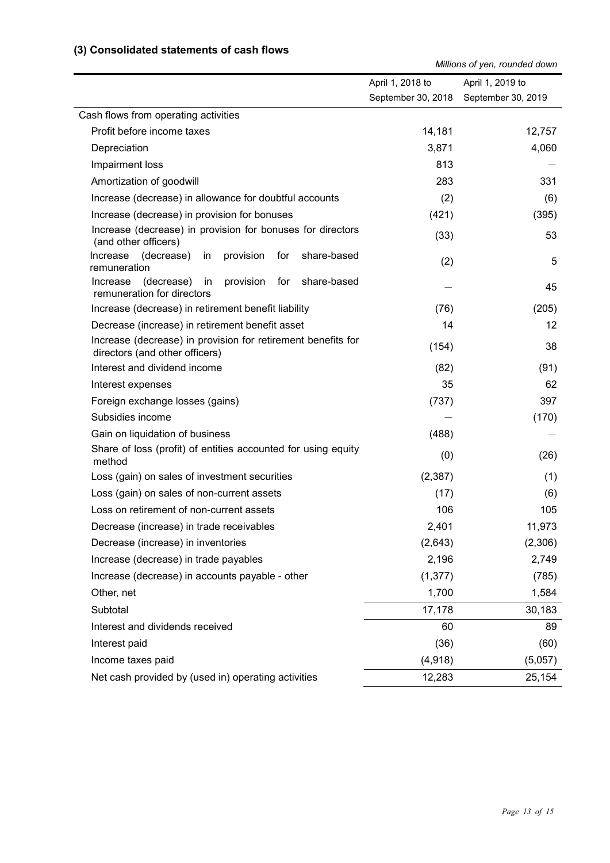#### **(3) Consolidated statements of cash flows**

*Millions of yen, rounded down*

|                                                                                                | April 1, 2018 to   | April 1, 2019 to   |
|------------------------------------------------------------------------------------------------|--------------------|--------------------|
|                                                                                                | September 30, 2018 | September 30, 2019 |
| Cash flows from operating activities                                                           |                    |                    |
| Profit before income taxes                                                                     | 14,181             | 12,757             |
| Depreciation                                                                                   | 3,871              | 4,060              |
| Impairment loss                                                                                | 813                |                    |
| Amortization of goodwill                                                                       | 283                | 331                |
| Increase (decrease) in allowance for doubtful accounts                                         | (2)                | (6)                |
| Increase (decrease) in provision for bonuses                                                   | (421)              | (395)              |
| Increase (decrease) in provision for bonuses for directors<br>(and other officers)             | (33)               | 53                 |
| Increase (decrease)<br>provision<br>for<br>share-based<br>in<br>remuneration                   | (2)                | 5                  |
| (decrease)<br>provision<br>for<br>share-based<br>Increase<br>in<br>remuneration for directors  |                    | 45                 |
| Increase (decrease) in retirement benefit liability                                            | (76)               | (205)              |
| Decrease (increase) in retirement benefit asset                                                | 14                 | 12                 |
| Increase (decrease) in provision for retirement benefits for<br>directors (and other officers) | (154)              | 38                 |
| Interest and dividend income                                                                   | (82)               | (91)               |
| Interest expenses                                                                              | 35                 | 62                 |
| Foreign exchange losses (gains)                                                                | (737)              | 397                |
| Subsidies income                                                                               |                    | (170)              |
| Gain on liquidation of business                                                                | (488)              |                    |
| Share of loss (profit) of entities accounted for using equity<br>method                        | (0)                | (26)               |
| Loss (gain) on sales of investment securities                                                  | (2, 387)           | (1)                |
| Loss (gain) on sales of non-current assets                                                     | (17)               | (6)                |
| Loss on retirement of non-current assets                                                       | 106                | 105                |
| Decrease (increase) in trade receivables                                                       | 2,401              | 11,973             |
| Decrease (increase) in inventories                                                             | (2,643)            | (2,306)            |
| Increase (decrease) in trade payables                                                          | 2,196              | 2,749              |
| Increase (decrease) in accounts payable - other                                                | (1, 377)           | (785)              |
| Other, net                                                                                     | 1,700              | 1,584              |
| Subtotal                                                                                       | 17,178             | 30,183             |
| Interest and dividends received                                                                | 60                 | 89                 |
| Interest paid                                                                                  | (36)               | (60)               |
| Income taxes paid                                                                              | (4,918)            | (5,057)            |
| Net cash provided by (used in) operating activities                                            | 12,283             | 25,154             |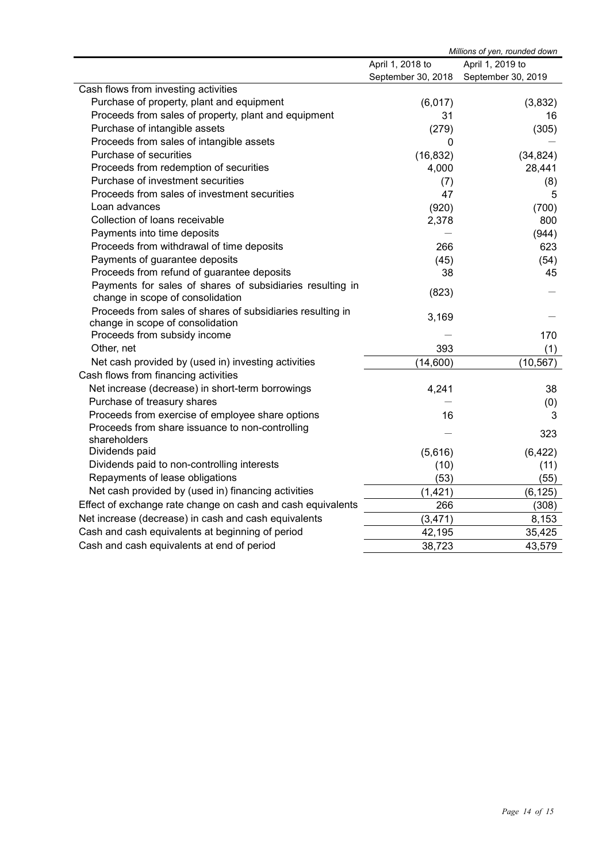|                                                             | Millions of yen, rounded down |                    |
|-------------------------------------------------------------|-------------------------------|--------------------|
|                                                             | April 1, 2018 to              | April 1, 2019 to   |
|                                                             | September 30, 2018            | September 30, 2019 |
| Cash flows from investing activities                        |                               |                    |
| Purchase of property, plant and equipment                   | (6,017)                       | (3,832)            |
| Proceeds from sales of property, plant and equipment        | 31                            | 16                 |
| Purchase of intangible assets                               | (279)                         | (305)              |
| Proceeds from sales of intangible assets                    | 0                             |                    |
| Purchase of securities                                      | (16, 832)                     | (34, 824)          |
| Proceeds from redemption of securities                      | 4,000                         | 28,441             |
| Purchase of investment securities                           | (7)                           | (8)                |
| Proceeds from sales of investment securities                | 47                            | 5                  |
| Loan advances                                               | (920)                         | (700)              |
| Collection of loans receivable                              | 2,378                         | 800                |
| Payments into time deposits                                 |                               | (944)              |
| Proceeds from withdrawal of time deposits                   | 266                           | 623                |
| Payments of guarantee deposits                              | (45)                          | (54)               |
| Proceeds from refund of guarantee deposits                  | 38                            | 45                 |
| Payments for sales of shares of subsidiaries resulting in   | (823)                         |                    |
| change in scope of consolidation                            |                               |                    |
| Proceeds from sales of shares of subsidiaries resulting in  | 3,169                         |                    |
| change in scope of consolidation                            |                               |                    |
| Proceeds from subsidy income                                |                               | 170                |
| Other, net                                                  | 393                           | (1)                |
| Net cash provided by (used in) investing activities         | (14,600)                      | (10, 567)          |
| Cash flows from financing activities                        |                               |                    |
| Net increase (decrease) in short-term borrowings            | 4,241                         | 38                 |
| Purchase of treasury shares                                 |                               | (0)                |
| Proceeds from exercise of employee share options            | 16                            | 3                  |
| Proceeds from share issuance to non-controlling             |                               | 323                |
| shareholders                                                |                               |                    |
| Dividends paid                                              | (5,616)                       | (6, 422)           |
| Dividends paid to non-controlling interests                 | (10)                          | (11)               |
| Repayments of lease obligations                             | (53)                          | (55)               |
| Net cash provided by (used in) financing activities         | (1, 421)                      | (6, 125)           |
| Effect of exchange rate change on cash and cash equivalents | 266                           | (308)              |
| Net increase (decrease) in cash and cash equivalents        | (3, 471)                      | 8,153              |
| Cash and cash equivalents at beginning of period            | 42,195                        | 35,425             |
| Cash and cash equivalents at end of period                  | 38,723                        | 43,579             |